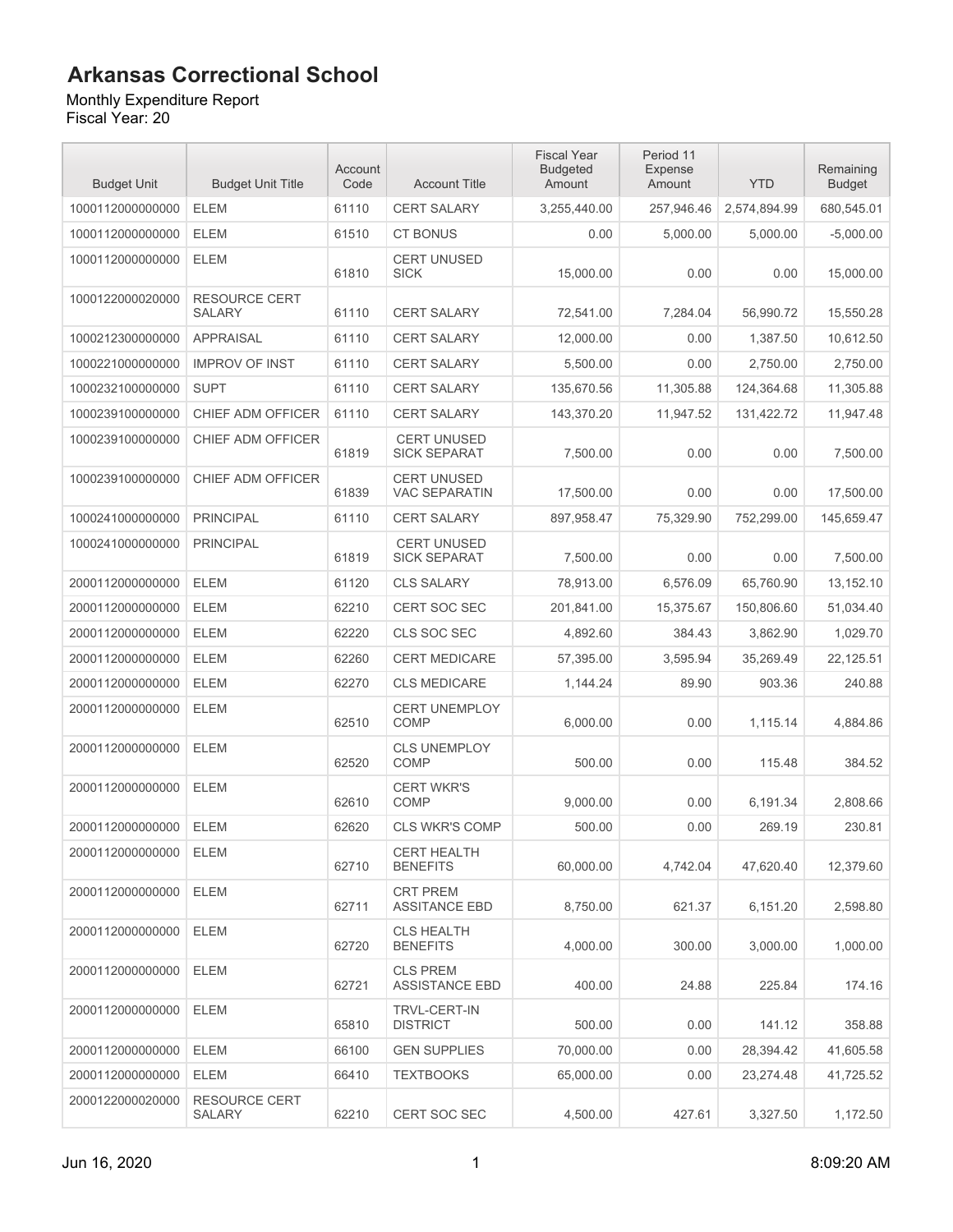#### Monthly Expenditure Report

| <b>Budget Unit</b> | <b>Budget Unit Title</b>              | Account<br>Code | <b>Account Title</b>                       | <b>Fiscal Year</b><br><b>Budgeted</b><br>Amount | Period 11<br>Expense<br>Amount | <b>YTD</b>   | Remaining<br><b>Budget</b> |
|--------------------|---------------------------------------|-----------------|--------------------------------------------|-------------------------------------------------|--------------------------------|--------------|----------------------------|
| 1000112000000000   | <b>ELEM</b>                           | 61110           | <b>CERT SALARY</b>                         | 3,255,440.00                                    | 257,946.46                     | 2,574,894.99 | 680,545.01                 |
| 1000112000000000   | <b>ELEM</b>                           | 61510           | <b>CT BONUS</b>                            | 0.00                                            | 5,000.00                       | 5,000.00     | $-5,000.00$                |
| 1000112000000000   | <b>ELEM</b>                           | 61810           | <b>CERT UNUSED</b><br><b>SICK</b>          | 15,000.00                                       | 0.00                           | 0.00         | 15,000.00                  |
| 1000122000020000   | <b>RESOURCE CERT</b><br><b>SALARY</b> | 61110           | <b>CERT SALARY</b>                         | 72,541.00                                       | 7,284.04                       | 56,990.72    | 15,550.28                  |
| 1000212300000000   | <b>APPRAISAL</b>                      | 61110           | <b>CERT SALARY</b>                         | 12,000.00                                       | 0.00                           | 1.387.50     | 10,612.50                  |
| 1000221000000000   | <b>IMPROV OF INST</b>                 | 61110           | <b>CERT SALARY</b>                         | 5,500.00                                        | 0.00                           | 2,750.00     | 2,750.00                   |
| 1000232100000000   | <b>SUPT</b>                           | 61110           | <b>CERT SALARY</b>                         | 135,670.56                                      | 11,305.88                      | 124,364.68   | 11,305.88                  |
| 1000239100000000   | CHIEF ADM OFFICER                     | 61110           | <b>CERT SALARY</b>                         | 143,370.20                                      | 11,947.52                      | 131,422.72   | 11,947.48                  |
| 1000239100000000   | CHIEF ADM OFFICER                     | 61819           | <b>CERT UNUSED</b><br><b>SICK SEPARAT</b>  | 7,500.00                                        | 0.00                           | 0.00         | 7,500.00                   |
| 1000239100000000   | CHIEF ADM OFFICER                     | 61839           | <b>CERT UNUSED</b><br><b>VAC SEPARATIN</b> | 17,500.00                                       | 0.00                           | 0.00         | 17,500.00                  |
| 1000241000000000   | <b>PRINCIPAL</b>                      | 61110           | <b>CERT SALARY</b>                         | 897,958.47                                      | 75,329.90                      | 752,299.00   | 145.659.47                 |
| 1000241000000000   | <b>PRINCIPAL</b>                      | 61819           | <b>CERT UNUSED</b><br><b>SICK SEPARAT</b>  | 7,500.00                                        | 0.00                           | 0.00         | 7.500.00                   |
| 2000112000000000   | <b>ELEM</b>                           | 61120           | <b>CLS SALARY</b>                          | 78.913.00                                       | 6,576.09                       | 65,760.90    | 13,152.10                  |
| 2000112000000000   | <b>ELEM</b>                           | 62210           | <b>CERT SOC SEC</b>                        | 201,841.00                                      | 15,375.67                      | 150,806.60   | 51,034.40                  |
| 2000112000000000   | <b>ELEM</b>                           | 62220           | <b>CLS SOC SEC</b>                         | 4,892.60                                        | 384.43                         | 3,862.90     | 1,029.70                   |
| 2000112000000000   | <b>ELEM</b>                           | 62260           | <b>CERT MEDICARE</b>                       | 57,395.00                                       | 3,595.94                       | 35,269.49    | 22,125.51                  |
| 2000112000000000   | <b>ELEM</b>                           | 62270           | <b>CLS MEDICARE</b>                        | 1,144.24                                        | 89.90                          | 903.36       | 240.88                     |
| 2000112000000000   | <b>ELEM</b>                           | 62510           | <b>CERT UNEMPLOY</b><br><b>COMP</b>        | 6,000.00                                        | 0.00                           | 1,115.14     | 4,884.86                   |
| 2000112000000000   | <b>ELEM</b>                           | 62520           | <b>CLS UNEMPLOY</b><br><b>COMP</b>         | 500.00                                          | 0.00                           | 115.48       | 384.52                     |
| 2000112000000000   | <b>ELEM</b>                           | 62610           | <b>CERT WKR'S</b><br><b>COMP</b>           | 9,000.00                                        | 0.00                           | 6,191.34     | 2,808.66                   |
| 2000112000000000   | <b>ELEM</b>                           | 62620           | <b>CLS WKR'S COMP</b>                      | 500.00                                          | 0.00                           | 269.19       | 230.81                     |
| 2000112000000000   | <b>ELEM</b>                           | 62710           | <b>CERT HEALTH</b><br><b>BENEFITS</b>      | 60,000.00                                       | 4.742.04                       | 47,620.40    | 12,379.60                  |
| 2000112000000000   | <b>ELEM</b>                           | 62711           | <b>CRT PREM</b><br><b>ASSITANCE EBD</b>    | 8,750.00                                        | 621.37                         | 6,151.20     | 2,598.80                   |
| 2000112000000000   | <b>ELEM</b>                           | 62720           | <b>CLS HEALTH</b><br><b>BENEFITS</b>       | 4,000.00                                        | 300.00                         | 3,000.00     | 1,000.00                   |
| 2000112000000000   | <b>ELEM</b>                           | 62721           | <b>CLS PREM</b><br><b>ASSISTANCE EBD</b>   | 400.00                                          | 24.88                          | 225.84       | 174.16                     |
| 2000112000000000   | <b>ELEM</b>                           | 65810           | <b>TRVL-CERT-IN</b><br><b>DISTRICT</b>     | 500.00                                          | 0.00                           | 141.12       | 358.88                     |
| 2000112000000000   | <b>ELEM</b>                           | 66100           | <b>GEN SUPPLIES</b>                        | 70,000.00                                       | 0.00                           | 28,394.42    | 41,605.58                  |
| 2000112000000000   | <b>ELEM</b>                           | 66410           | <b>TEXTBOOKS</b>                           | 65,000.00                                       | 0.00                           | 23,274.48    | 41,725.52                  |
| 2000122000020000   | <b>RESOURCE CERT</b><br><b>SALARY</b> | 62210           | CERT SOC SEC                               | 4,500.00                                        | 427.61                         | 3,327.50     | 1,172.50                   |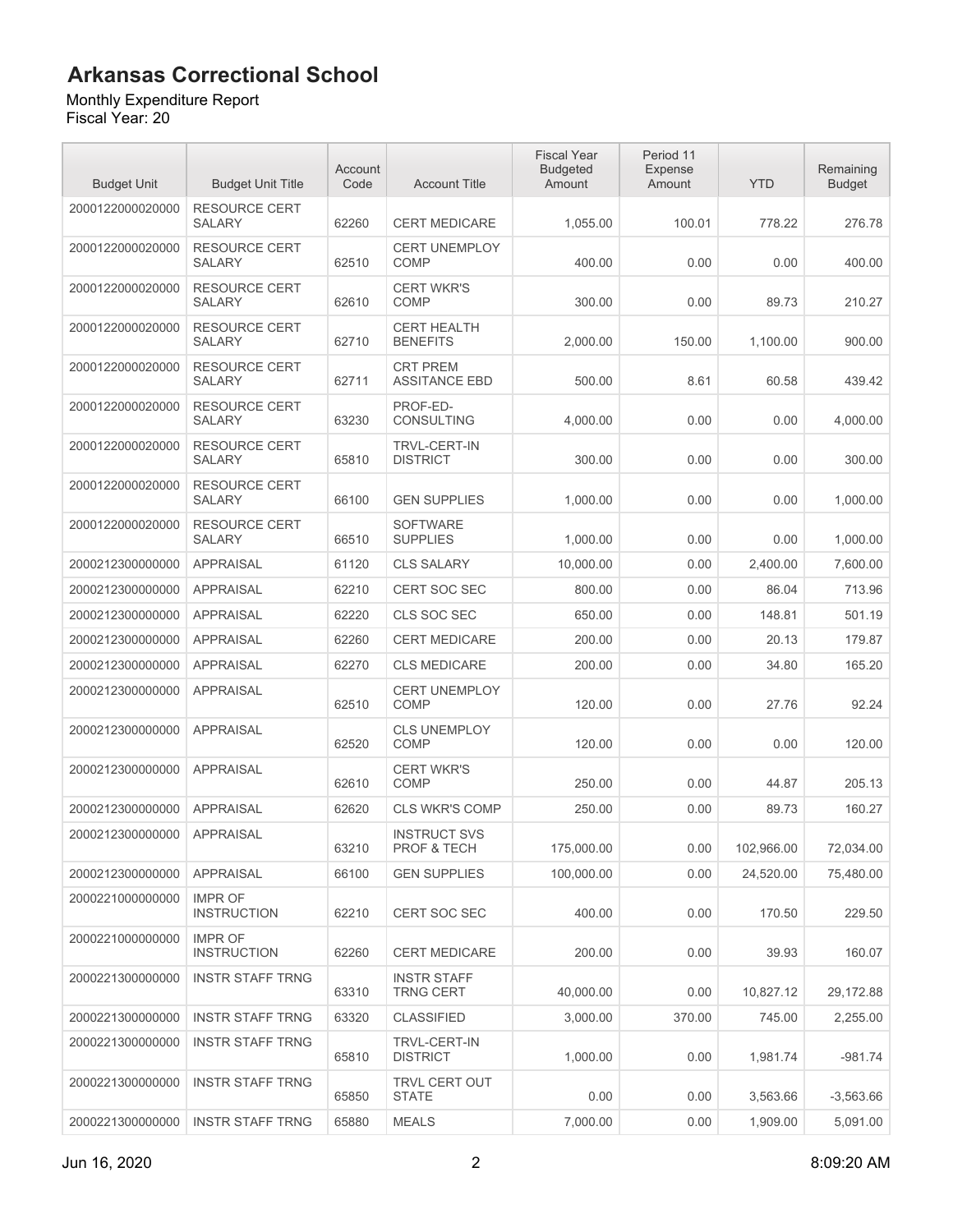#### Monthly Expenditure Report

| <b>Budget Unit</b> | <b>Budget Unit Title</b>              | Account<br>Code | <b>Account Title</b>                    | <b>Fiscal Year</b><br><b>Budgeted</b><br>Amount | Period 11<br>Expense<br>Amount | <b>YTD</b> | Remaining<br><b>Budget</b> |
|--------------------|---------------------------------------|-----------------|-----------------------------------------|-------------------------------------------------|--------------------------------|------------|----------------------------|
| 2000122000020000   | RESOURCE CERT<br><b>SALARY</b>        | 62260           | <b>CERT MEDICARE</b>                    | 1.055.00                                        | 100.01                         | 778.22     | 276.78                     |
| 2000122000020000   | <b>RESOURCE CERT</b><br><b>SALARY</b> | 62510           | <b>CERT UNEMPLOY</b><br><b>COMP</b>     | 400.00                                          | 0.00                           | 0.00       | 400.00                     |
| 2000122000020000   | <b>RESOURCE CERT</b><br><b>SALARY</b> | 62610           | <b>CERT WKR'S</b><br><b>COMP</b>        | 300.00                                          | 0.00                           | 89.73      | 210.27                     |
| 2000122000020000   | <b>RESOURCE CERT</b><br><b>SALARY</b> | 62710           | <b>CERT HEALTH</b><br><b>BENEFITS</b>   | 2,000.00                                        | 150.00                         | 1,100.00   | 900.00                     |
| 2000122000020000   | <b>RESOURCE CERT</b><br><b>SALARY</b> | 62711           | <b>CRT PREM</b><br><b>ASSITANCE EBD</b> | 500.00                                          | 8.61                           | 60.58      | 439.42                     |
| 2000122000020000   | <b>RESOURCE CERT</b><br><b>SALARY</b> | 63230           | PROF-ED-<br><b>CONSULTING</b>           | 4,000.00                                        | 0.00                           | 0.00       | 4,000.00                   |
| 2000122000020000   | <b>RESOURCE CERT</b><br><b>SALARY</b> | 65810           | <b>TRVL-CERT-IN</b><br><b>DISTRICT</b>  | 300.00                                          | 0.00                           | 0.00       | 300.00                     |
| 2000122000020000   | <b>RESOURCE CERT</b><br><b>SALARY</b> | 66100           | <b>GEN SUPPLIES</b>                     | 1,000.00                                        | 0.00                           | 0.00       | 1,000.00                   |
| 2000122000020000   | <b>RESOURCE CERT</b><br><b>SALARY</b> | 66510           | <b>SOFTWARE</b><br><b>SUPPLIES</b>      | 1,000.00                                        | 0.00                           | 0.00       | 1,000.00                   |
| 2000212300000000   | <b>APPRAISAL</b>                      | 61120           | <b>CLS SALARY</b>                       | 10,000.00                                       | 0.00                           | 2,400.00   | 7,600.00                   |
| 2000212300000000   | <b>APPRAISAL</b>                      | 62210           | <b>CERT SOC SEC</b>                     | 800.00                                          | 0.00                           | 86.04      | 713.96                     |
| 2000212300000000   | <b>APPRAISAL</b>                      | 62220           | CLS SOC SEC                             | 650.00                                          | 0.00                           | 148.81     | 501.19                     |
| 2000212300000000   | <b>APPRAISAL</b>                      | 62260           | <b>CERT MEDICARE</b>                    | 200.00                                          | 0.00                           | 20.13      | 179.87                     |
| 2000212300000000   | <b>APPRAISAL</b>                      | 62270           | <b>CLS MEDICARE</b>                     | 200.00                                          | 0.00                           | 34.80      | 165.20                     |
| 2000212300000000   | <b>APPRAISAL</b>                      | 62510           | <b>CERT UNEMPLOY</b><br>COMP            | 120.00                                          | 0.00                           | 27.76      | 92.24                      |
| 2000212300000000   | <b>APPRAISAL</b>                      | 62520           | <b>CLS UNEMPLOY</b><br><b>COMP</b>      | 120.00                                          | 0.00                           | 0.00       | 120.00                     |
| 2000212300000000   | <b>APPRAISAL</b>                      | 62610           | <b>CERT WKR'S</b><br><b>COMP</b>        | 250.00                                          | 0.00                           | 44.87      | 205.13                     |
| 2000212300000000   | <b>APPRAISAL</b>                      | 62620           | <b>CLS WKR'S COMP</b>                   | 250.00                                          | 0.00                           | 89.73      | 160.27                     |
| 2000212300000000   | <b>APPRAISAL</b>                      | 63210           | <b>INSTRUCT SVS</b><br>PROF & TECH      | 175,000.00                                      | 0.00                           | 102,966.00 | 72,034.00                  |
| 2000212300000000   | <b>APPRAISAL</b>                      | 66100           | <b>GEN SUPPLIES</b>                     | 100,000.00                                      | 0.00                           | 24,520.00  | 75,480.00                  |
| 2000221000000000   | <b>IMPR OF</b><br><b>INSTRUCTION</b>  | 62210           | CERT SOC SEC                            | 400.00                                          | 0.00                           | 170.50     | 229.50                     |
| 2000221000000000   | <b>IMPR OF</b><br><b>INSTRUCTION</b>  | 62260           | <b>CERT MEDICARE</b>                    | 200.00                                          | 0.00                           | 39.93      | 160.07                     |
| 2000221300000000   | <b>INSTR STAFF TRNG</b>               | 63310           | <b>INSTR STAFF</b><br><b>TRNG CERT</b>  | 40,000.00                                       | 0.00                           | 10,827.12  | 29,172.88                  |
| 2000221300000000   | <b>INSTR STAFF TRNG</b>               | 63320           | <b>CLASSIFIED</b>                       | 3.000.00                                        | 370.00                         | 745.00     | 2,255.00                   |
| 2000221300000000   | <b>INSTR STAFF TRNG</b>               | 65810           | TRVL-CERT-IN<br><b>DISTRICT</b>         | 1,000.00                                        | 0.00                           | 1,981.74   | $-981.74$                  |
| 2000221300000000   | <b>INSTR STAFF TRNG</b>               | 65850           | TRVL CERT OUT<br><b>STATE</b>           | 0.00                                            | 0.00                           | 3,563.66   | $-3,563.66$                |
| 2000221300000000   | <b>INSTR STAFF TRNG</b>               | 65880           | <b>MEALS</b>                            | 7,000.00                                        | 0.00                           | 1,909.00   | 5,091.00                   |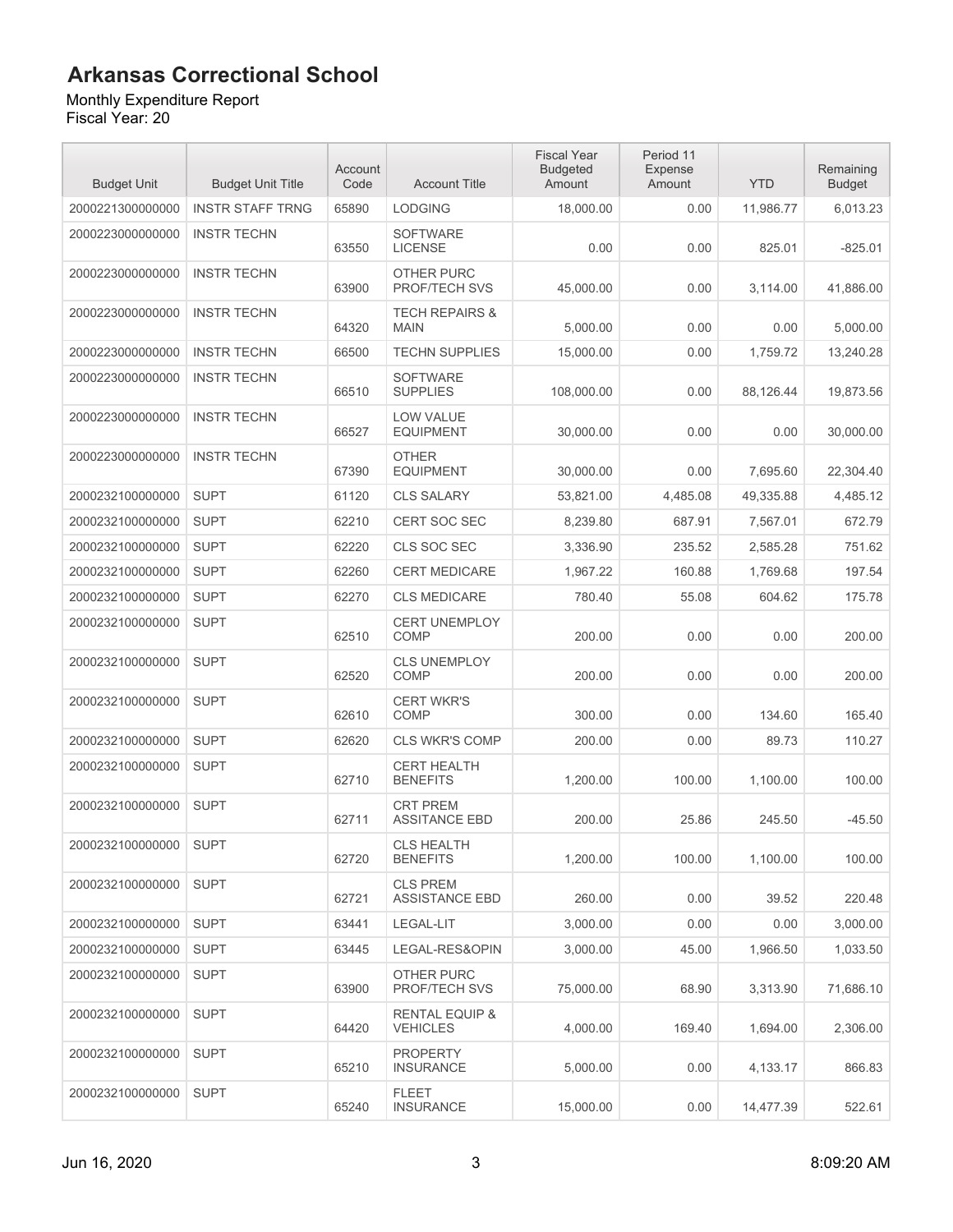#### Monthly Expenditure Report

| <b>Budget Unit</b> | <b>Budget Unit Title</b> | Account<br>Code | <b>Account Title</b>                         | <b>Fiscal Year</b><br><b>Budgeted</b><br>Amount | Period 11<br>Expense<br>Amount | <b>YTD</b> | Remaining<br><b>Budget</b> |
|--------------------|--------------------------|-----------------|----------------------------------------------|-------------------------------------------------|--------------------------------|------------|----------------------------|
| 2000221300000000   | <b>INSTR STAFF TRNG</b>  | 65890           | <b>LODGING</b>                               | 18,000.00                                       | 0.00                           | 11,986.77  | 6,013.23                   |
| 2000223000000000   | <b>INSTR TECHN</b>       | 63550           | <b>SOFTWARE</b><br><b>LICENSE</b>            | 0.00                                            | 0.00                           | 825.01     | $-825.01$                  |
| 2000223000000000   | <b>INSTR TECHN</b>       | 63900           | OTHER PURC<br><b>PROF/TECH SVS</b>           | 45,000.00                                       | 0.00                           | 3,114.00   | 41,886.00                  |
| 2000223000000000   | <b>INSTR TECHN</b>       | 64320           | <b>TECH REPAIRS &amp;</b><br><b>MAIN</b>     | 5,000.00                                        | 0.00                           | 0.00       | 5,000.00                   |
| 2000223000000000   | <b>INSTR TECHN</b>       | 66500           | <b>TECHN SUPPLIES</b>                        | 15,000.00                                       | 0.00                           | 1.759.72   | 13,240.28                  |
| 2000223000000000   | <b>INSTR TECHN</b>       | 66510           | <b>SOFTWARE</b><br><b>SUPPLIES</b>           | 108,000.00                                      | 0.00                           | 88,126.44  | 19,873.56                  |
| 2000223000000000   | <b>INSTR TECHN</b>       | 66527           | <b>LOW VALUE</b><br><b>EQUIPMENT</b>         | 30,000.00                                       | 0.00                           | 0.00       | 30,000.00                  |
| 2000223000000000   | <b>INSTR TECHN</b>       | 67390           | <b>OTHER</b><br><b>EQUIPMENT</b>             | 30,000.00                                       | 0.00                           | 7,695.60   | 22,304.40                  |
| 2000232100000000   | <b>SUPT</b>              | 61120           | <b>CLS SALARY</b>                            | 53,821.00                                       | 4,485.08                       | 49,335.88  | 4,485.12                   |
| 2000232100000000   | <b>SUPT</b>              | 62210           | <b>CERT SOC SEC</b>                          | 8,239.80                                        | 687.91                         | 7,567.01   | 672.79                     |
| 2000232100000000   | <b>SUPT</b>              | 62220           | CLS SOC SEC                                  | 3,336.90                                        | 235.52                         | 2,585.28   | 751.62                     |
| 2000232100000000   | <b>SUPT</b>              | 62260           | <b>CERT MEDICARE</b>                         | 1,967.22                                        | 160.88                         | 1,769.68   | 197.54                     |
| 2000232100000000   | <b>SUPT</b>              | 62270           | <b>CLS MEDICARE</b>                          | 780.40                                          | 55.08                          | 604.62     | 175.78                     |
| 2000232100000000   | <b>SUPT</b>              | 62510           | <b>CERT UNEMPLOY</b><br>COMP                 | 200.00                                          | 0.00                           | 0.00       | 200.00                     |
| 2000232100000000   | <b>SUPT</b>              | 62520           | <b>CLS UNEMPLOY</b><br>COMP                  | 200.00                                          | 0.00                           | 0.00       | 200.00                     |
| 2000232100000000   | <b>SUPT</b>              | 62610           | <b>CERT WKR'S</b><br>COMP                    | 300.00                                          | 0.00                           | 134.60     | 165.40                     |
| 2000232100000000   | <b>SUPT</b>              | 62620           | <b>CLS WKR'S COMP</b>                        | 200.00                                          | 0.00                           | 89.73      | 110.27                     |
| 2000232100000000   | <b>SUPT</b>              | 62710           | <b>CERT HEALTH</b><br><b>BENEFITS</b>        | 1,200.00                                        | 100.00                         | 1,100.00   | 100.00                     |
| 2000232100000000   | <b>SUPT</b>              | 62711           | <b>CRT PREM</b><br><b>ASSITANCE EBD</b>      | 200.00                                          | 25.86                          | 245.50     | $-45.50$                   |
| 2000232100000000   | <b>SUPT</b>              | 62720           | <b>CLS HEALTH</b><br><b>BENEFITS</b>         | 1,200.00                                        | 100.00                         | 1,100.00   | 100.00                     |
| 2000232100000000   | <b>SUPT</b>              | 62721           | <b>CLS PREM</b><br><b>ASSISTANCE EBD</b>     | 260.00                                          | 0.00                           | 39.52      | 220.48                     |
| 2000232100000000   | <b>SUPT</b>              | 63441           | LEGAL-LIT                                    | 3,000.00                                        | 0.00                           | 0.00       | 3,000.00                   |
| 2000232100000000   | <b>SUPT</b>              | 63445           | LEGAL-RES&OPIN                               | 3,000.00                                        | 45.00                          | 1,966.50   | 1,033.50                   |
| 2000232100000000   | <b>SUPT</b>              | 63900           | OTHER PURC<br>PROF/TECH SVS                  | 75,000.00                                       | 68.90                          | 3,313.90   | 71,686.10                  |
| 2000232100000000   | <b>SUPT</b>              | 64420           | <b>RENTAL EQUIP &amp;</b><br><b>VEHICLES</b> | 4,000.00                                        | 169.40                         | 1,694.00   | 2,306.00                   |
| 2000232100000000   | <b>SUPT</b>              | 65210           | <b>PROPERTY</b><br><b>INSURANCE</b>          | 5,000.00                                        | 0.00                           | 4,133.17   | 866.83                     |
| 2000232100000000   | <b>SUPT</b>              | 65240           | <b>FLEET</b><br><b>INSURANCE</b>             | 15,000.00                                       | 0.00                           | 14,477.39  | 522.61                     |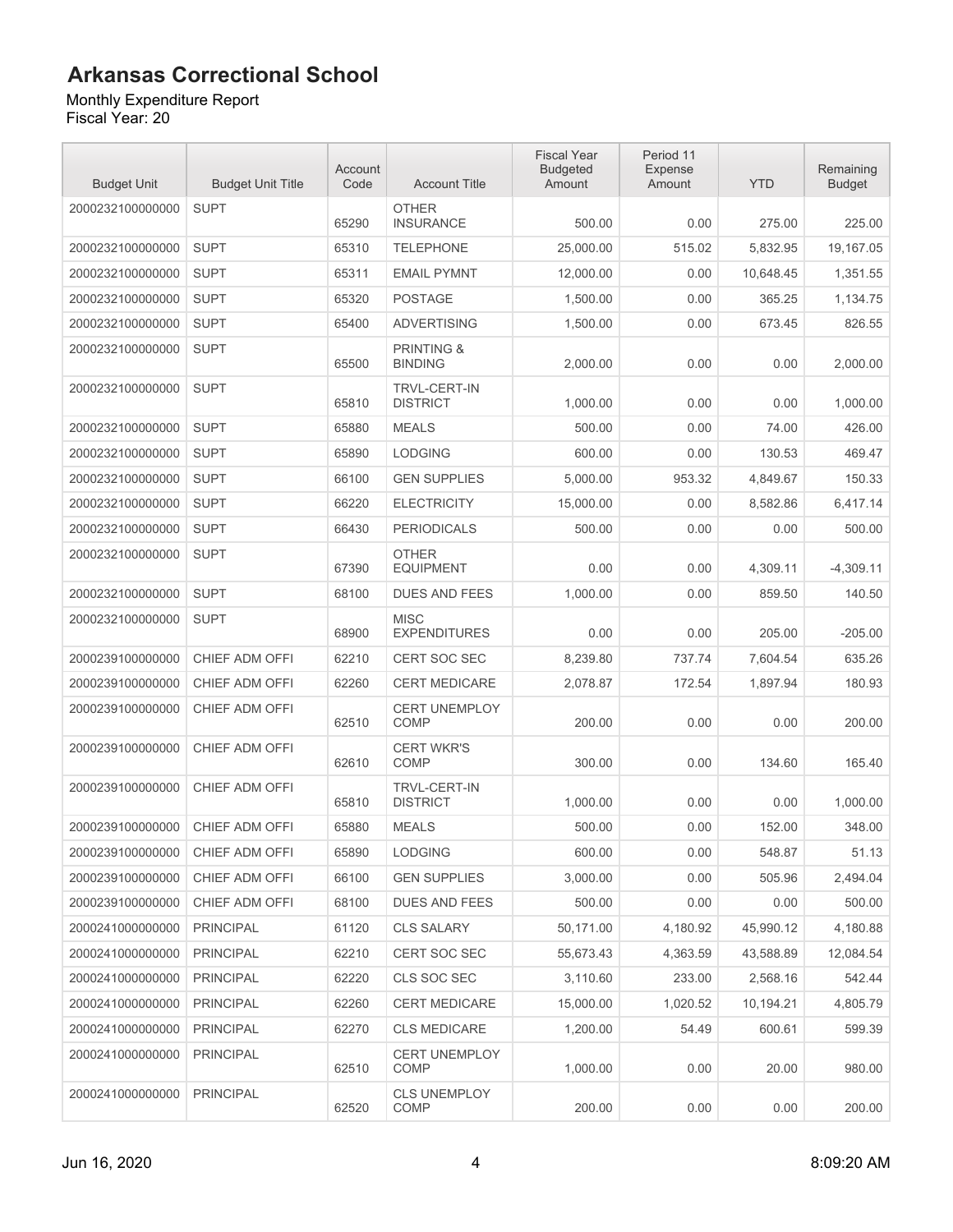Monthly Expenditure Report Fiscal Year: 20

| <b>Budget Unit</b> | <b>Budget Unit Title</b> | Account<br>Code | <b>Account Title</b>                    | <b>Fiscal Year</b><br><b>Budgeted</b><br>Amount | Period 11<br>Expense<br>Amount | <b>YTD</b> | Remaining<br><b>Budget</b> |
|--------------------|--------------------------|-----------------|-----------------------------------------|-------------------------------------------------|--------------------------------|------------|----------------------------|
| 2000232100000000   | <b>SUPT</b>              | 65290           | <b>OTHER</b><br><b>INSURANCE</b>        | 500.00                                          | 0.00                           | 275.00     | 225.00                     |
| 2000232100000000   | <b>SUPT</b>              | 65310           | <b>TELEPHONE</b>                        | 25.000.00                                       | 515.02                         | 5,832.95   | 19,167.05                  |
| 2000232100000000   | <b>SUPT</b>              | 65311           | <b>EMAIL PYMNT</b>                      | 12,000.00                                       | 0.00                           | 10,648.45  | 1,351.55                   |
| 2000232100000000   | <b>SUPT</b>              | 65320           | <b>POSTAGE</b>                          | 1,500.00                                        | 0.00                           | 365.25     | 1,134.75                   |
| 2000232100000000   | <b>SUPT</b>              | 65400           | <b>ADVERTISING</b>                      | 1,500.00                                        | 0.00                           | 673.45     | 826.55                     |
| 2000232100000000   | <b>SUPT</b>              | 65500           | <b>PRINTING &amp;</b><br><b>BINDING</b> | 2,000.00                                        | 0.00                           | 0.00       | 2,000.00                   |
| 2000232100000000   | <b>SUPT</b>              | 65810           | TRVL-CERT-IN<br><b>DISTRICT</b>         | 1,000.00                                        | 0.00                           | 0.00       | 1,000.00                   |
| 2000232100000000   | <b>SUPT</b>              | 65880           | <b>MEALS</b>                            | 500.00                                          | 0.00                           | 74.00      | 426.00                     |
| 2000232100000000   | <b>SUPT</b>              | 65890           | <b>LODGING</b>                          | 600.00                                          | 0.00                           | 130.53     | 469.47                     |
| 2000232100000000   | <b>SUPT</b>              | 66100           | <b>GEN SUPPLIES</b>                     | 5,000.00                                        | 953.32                         | 4,849.67   | 150.33                     |
| 2000232100000000   | <b>SUPT</b>              | 66220           | <b>ELECTRICITY</b>                      | 15,000.00                                       | 0.00                           | 8,582.86   | 6,417.14                   |
| 2000232100000000   | <b>SUPT</b>              | 66430           | <b>PERIODICALS</b>                      | 500.00                                          | 0.00                           | 0.00       | 500.00                     |
| 2000232100000000   | <b>SUPT</b>              | 67390           | <b>OTHER</b><br><b>EQUIPMENT</b>        | 0.00                                            | 0.00                           | 4,309.11   | $-4,309.11$                |
| 2000232100000000   | <b>SUPT</b>              | 68100           | <b>DUES AND FEES</b>                    | 1.000.00                                        | 0.00                           | 859.50     | 140.50                     |
| 2000232100000000   | <b>SUPT</b>              | 68900           | <b>MISC</b><br><b>EXPENDITURES</b>      | 0.00                                            | 0.00                           | 205.00     | $-205.00$                  |
| 2000239100000000   | CHIEF ADM OFFI           | 62210           | <b>CERT SOC SEC</b>                     | 8,239.80                                        | 737.74                         | 7,604.54   | 635.26                     |
| 2000239100000000   | CHIEF ADM OFFI           | 62260           | <b>CERT MEDICARE</b>                    | 2,078.87                                        | 172.54                         | 1,897.94   | 180.93                     |
| 2000239100000000   | CHIEF ADM OFFI           | 62510           | <b>CERT UNEMPLOY</b><br><b>COMP</b>     | 200.00                                          | 0.00                           | 0.00       | 200.00                     |
| 2000239100000000   | CHIEF ADM OFFI           | 62610           | <b>CERT WKR'S</b><br>COMP               | 300.00                                          | 0.00                           | 134.60     | 165.40                     |
| 2000239100000000   | CHIEF ADM OFFI           | 65810           | <b>TRVL-CERT-IN</b><br><b>DISTRICT</b>  | 1.000.00                                        | 0.00                           | 0.00       | 1.000.00                   |
| 2000239100000000   | CHIEF ADM OFFI           | 65880           | <b>MEALS</b>                            | 500.00                                          | 0.00                           | 152.00     | 348.00                     |
| 2000239100000000   | CHIEF ADM OFFI           | 65890           | <b>LODGING</b>                          | 600.00                                          | 0.00                           | 548.87     | 51.13                      |
| 2000239100000000   | CHIEF ADM OFFI           | 66100           | <b>GEN SUPPLIES</b>                     | 3,000.00                                        | 0.00                           | 505.96     | 2,494.04                   |
| 2000239100000000   | CHIEF ADM OFFI           | 68100           | <b>DUES AND FEES</b>                    | 500.00                                          | 0.00                           | 0.00       | 500.00                     |
| 2000241000000000   | <b>PRINCIPAL</b>         | 61120           | <b>CLS SALARY</b>                       | 50,171.00                                       | 4,180.92                       | 45,990.12  | 4,180.88                   |
| 2000241000000000   | <b>PRINCIPAL</b>         | 62210           | CERT SOC SEC                            | 55,673.43                                       | 4,363.59                       | 43,588.89  | 12,084.54                  |
| 2000241000000000   | <b>PRINCIPAL</b>         | 62220           | CLS SOC SEC                             | 3,110.60                                        | 233.00                         | 2,568.16   | 542.44                     |
| 2000241000000000   | <b>PRINCIPAL</b>         | 62260           | <b>CERT MEDICARE</b>                    | 15,000.00                                       | 1,020.52                       | 10,194.21  | 4,805.79                   |
| 2000241000000000   | <b>PRINCIPAL</b>         | 62270           | <b>CLS MEDICARE</b>                     | 1,200.00                                        | 54.49                          | 600.61     | 599.39                     |
| 2000241000000000   | <b>PRINCIPAL</b>         | 62510           | <b>CERT UNEMPLOY</b><br>COMP            | 1,000.00                                        | 0.00                           | 20.00      | 980.00                     |
| 2000241000000000   | <b>PRINCIPAL</b>         | 62520           | <b>CLS UNEMPLOY</b><br>COMP             | 200.00                                          | 0.00                           | 0.00       | 200.00                     |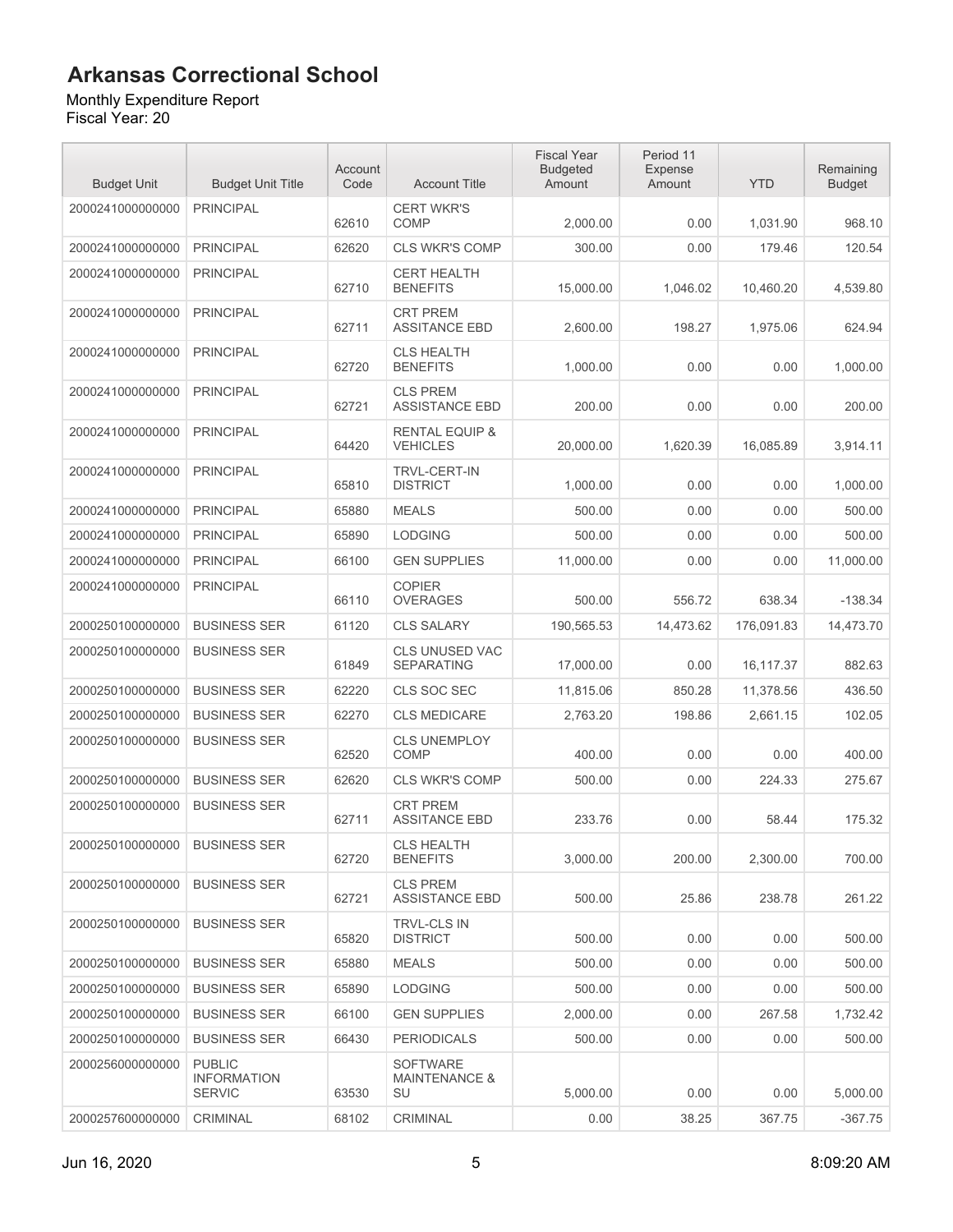#### Monthly Expenditure Report

| <b>Budget Unit</b> | <b>Budget Unit Title</b>                             | Account<br>Code | <b>Account Title</b>                              | <b>Fiscal Year</b><br><b>Budgeted</b><br>Amount | Period 11<br>Expense<br>Amount | <b>YTD</b> | Remaining<br><b>Budget</b> |
|--------------------|------------------------------------------------------|-----------------|---------------------------------------------------|-------------------------------------------------|--------------------------------|------------|----------------------------|
| 2000241000000000   | <b>PRINCIPAL</b>                                     | 62610           | <b>CERT WKR'S</b><br><b>COMP</b>                  | 2,000.00                                        | 0.00                           | 1,031.90   | 968.10                     |
| 2000241000000000   | <b>PRINCIPAL</b>                                     | 62620           | <b>CLS WKR'S COMP</b>                             | 300.00                                          | 0.00                           | 179.46     | 120.54                     |
| 2000241000000000   | <b>PRINCIPAL</b>                                     | 62710           | <b>CERT HEALTH</b><br><b>BENEFITS</b>             | 15,000.00                                       | 1,046.02                       | 10,460.20  | 4,539.80                   |
| 2000241000000000   | <b>PRINCIPAL</b>                                     | 62711           | <b>CRT PREM</b><br><b>ASSITANCE EBD</b>           | 2,600.00                                        | 198.27                         | 1,975.06   | 624.94                     |
| 2000241000000000   | <b>PRINCIPAL</b>                                     | 62720           | <b>CLS HEALTH</b><br><b>BENEFITS</b>              | 1,000.00                                        | 0.00                           | 0.00       | 1,000.00                   |
| 2000241000000000   | <b>PRINCIPAL</b>                                     | 62721           | <b>CLS PREM</b><br><b>ASSISTANCE EBD</b>          | 200.00                                          | 0.00                           | 0.00       | 200.00                     |
| 2000241000000000   | <b>PRINCIPAL</b>                                     | 64420           | <b>RENTAL EQUIP &amp;</b><br><b>VEHICLES</b>      | 20,000.00                                       | 1,620.39                       | 16,085.89  | 3,914.11                   |
| 2000241000000000   | <b>PRINCIPAL</b>                                     | 65810           | <b>TRVL-CERT-IN</b><br><b>DISTRICT</b>            | 1,000.00                                        | 0.00                           | 0.00       | 1,000.00                   |
| 2000241000000000   | <b>PRINCIPAL</b>                                     | 65880           | <b>MEALS</b>                                      | 500.00                                          | 0.00                           | 0.00       | 500.00                     |
| 2000241000000000   | <b>PRINCIPAL</b>                                     | 65890           | <b>LODGING</b>                                    | 500.00                                          | 0.00                           | 0.00       | 500.00                     |
| 2000241000000000   | <b>PRINCIPAL</b>                                     | 66100           | <b>GEN SUPPLIES</b>                               | 11,000.00                                       | 0.00                           | 0.00       | 11.000.00                  |
| 2000241000000000   | <b>PRINCIPAL</b>                                     | 66110           | <b>COPIER</b><br><b>OVERAGES</b>                  | 500.00                                          | 556.72                         | 638.34     | $-138.34$                  |
| 2000250100000000   | <b>BUSINESS SER</b>                                  | 61120           | <b>CLS SALARY</b>                                 | 190,565.53                                      | 14,473.62                      | 176,091.83 | 14,473.70                  |
| 2000250100000000   | <b>BUSINESS SER</b>                                  | 61849           | CLS UNUSED VAC<br><b>SEPARATING</b>               | 17,000.00                                       | 0.00                           | 16,117.37  | 882.63                     |
| 2000250100000000   | <b>BUSINESS SER</b>                                  | 62220           | CLS SOC SEC                                       | 11,815.06                                       | 850.28                         | 11,378.56  | 436.50                     |
| 2000250100000000   | <b>BUSINESS SER</b>                                  | 62270           | <b>CLS MEDICARE</b>                               | 2,763.20                                        | 198.86                         | 2,661.15   | 102.05                     |
| 2000250100000000   | <b>BUSINESS SER</b>                                  | 62520           | <b>CLS UNEMPLOY</b><br>COMP                       | 400.00                                          | 0.00                           | 0.00       | 400.00                     |
| 2000250100000000   | <b>BUSINESS SER</b>                                  | 62620           | <b>CLS WKR'S COMP</b>                             | 500.00                                          | 0.00                           | 224.33     | 275.67                     |
| 2000250100000000   | <b>BUSINESS SER</b>                                  | 62711           | <b>CRT PREM</b><br><b>ASSITANCE EBD</b>           | 233.76                                          | 0.00                           | 58.44      | 175.32                     |
| 2000250100000000   | <b>BUSINESS SER</b>                                  | 62720           | <b>CLS HEALTH</b><br><b>BENEFITS</b>              | 3,000.00                                        | 200.00                         | 2,300.00   | 700.00                     |
| 2000250100000000   | <b>BUSINESS SER</b>                                  | 62721           | <b>CLS PREM</b><br><b>ASSISTANCE EBD</b>          | 500.00                                          | 25.86                          | 238.78     | 261.22                     |
| 2000250100000000   | <b>BUSINESS SER</b>                                  | 65820           | <b>TRVL-CLS IN</b><br><b>DISTRICT</b>             | 500.00                                          | 0.00                           | 0.00       | 500.00                     |
| 2000250100000000   | <b>BUSINESS SER</b>                                  | 65880           | <b>MEALS</b>                                      | 500.00                                          | 0.00                           | 0.00       | 500.00                     |
| 2000250100000000   | <b>BUSINESS SER</b>                                  | 65890           | <b>LODGING</b>                                    | 500.00                                          | 0.00                           | 0.00       | 500.00                     |
| 2000250100000000   | <b>BUSINESS SER</b>                                  | 66100           | <b>GEN SUPPLIES</b>                               | 2,000.00                                        | 0.00                           | 267.58     | 1,732.42                   |
| 2000250100000000   | <b>BUSINESS SER</b>                                  | 66430           | <b>PERIODICALS</b>                                | 500.00                                          | 0.00                           | 0.00       | 500.00                     |
| 2000256000000000   | <b>PUBLIC</b><br><b>INFORMATION</b><br><b>SERVIC</b> | 63530           | <b>SOFTWARE</b><br><b>MAINTENANCE &amp;</b><br>SU | 5,000.00                                        | 0.00                           | 0.00       | 5,000.00                   |
| 2000257600000000   | CRIMINAL                                             | 68102           | CRIMINAL                                          | 0.00                                            | 38.25                          | 367.75     | $-367.75$                  |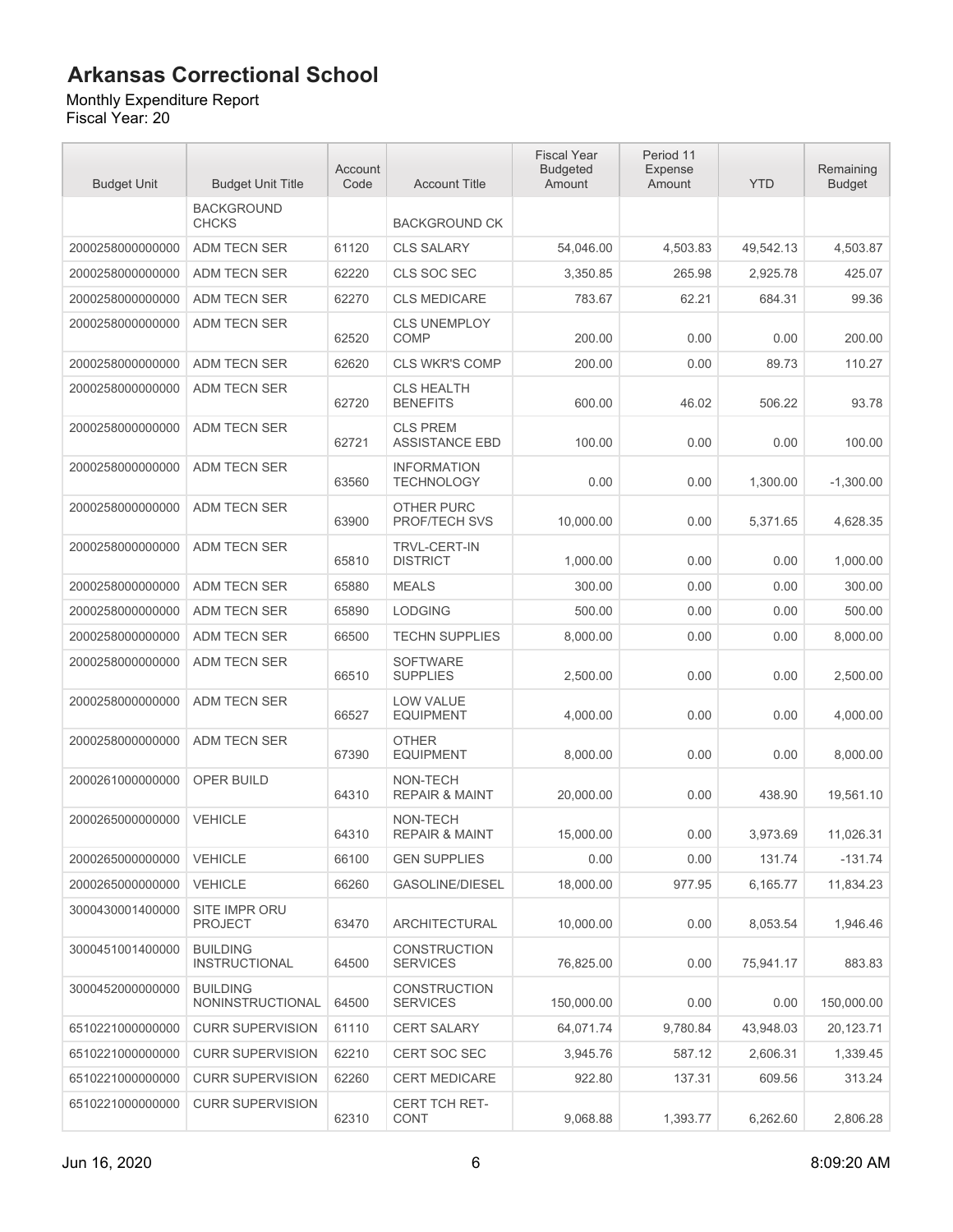#### Monthly Expenditure Report

| <b>Budget Unit</b> | <b>Budget Unit Title</b>                | Account<br>Code | <b>Account Title</b>                     | <b>Fiscal Year</b><br><b>Budgeted</b><br>Amount | Period 11<br>Expense<br>Amount | <b>YTD</b> | Remaining<br><b>Budget</b> |
|--------------------|-----------------------------------------|-----------------|------------------------------------------|-------------------------------------------------|--------------------------------|------------|----------------------------|
|                    | <b>BACKGROUND</b><br><b>CHCKS</b>       |                 | <b>BACKGROUND CK</b>                     |                                                 |                                |            |                            |
| 2000258000000000   | ADM TECN SER                            | 61120           | <b>CLS SALARY</b>                        | 54,046.00                                       | 4,503.83                       | 49,542.13  | 4,503.87                   |
| 2000258000000000   | ADM TECN SER                            | 62220           | <b>CLS SOC SEC</b>                       | 3,350.85                                        | 265.98                         | 2,925.78   | 425.07                     |
| 2000258000000000   | ADM TECN SER                            | 62270           | <b>CLS MEDICARE</b>                      | 783.67                                          | 62.21                          | 684.31     | 99.36                      |
| 2000258000000000   | ADM TECN SER                            | 62520           | <b>CLS UNEMPLOY</b><br><b>COMP</b>       | 200.00                                          | 0.00                           | 0.00       | 200.00                     |
| 2000258000000000   | ADM TECN SER                            | 62620           | <b>CLS WKR'S COMP</b>                    | 200.00                                          | 0.00                           | 89.73      | 110.27                     |
| 2000258000000000   | ADM TECN SER                            | 62720           | <b>CLS HEALTH</b><br><b>BENEFITS</b>     | 600.00                                          | 46.02                          | 506.22     | 93.78                      |
| 2000258000000000   | ADM TECN SER                            | 62721           | <b>CLS PREM</b><br><b>ASSISTANCE EBD</b> | 100.00                                          | 0.00                           | 0.00       | 100.00                     |
| 2000258000000000   | ADM TECN SER                            | 63560           | <b>INFORMATION</b><br><b>TECHNOLOGY</b>  | 0.00                                            | 0.00                           | 1,300.00   | $-1,300.00$                |
| 2000258000000000   | ADM TECN SER                            | 63900           | <b>OTHER PURC</b><br>PROF/TECH SVS       | 10,000.00                                       | 0.00                           | 5,371.65   | 4,628.35                   |
| 2000258000000000   | ADM TECN SER                            | 65810           | <b>TRVL-CERT-IN</b><br><b>DISTRICT</b>   | 1,000.00                                        | 0.00                           | 0.00       | 1,000.00                   |
| 2000258000000000   | ADM TECN SER                            | 65880           | <b>MEALS</b>                             | 300.00                                          | 0.00                           | 0.00       | 300.00                     |
| 2000258000000000   | ADM TECN SER                            | 65890           | <b>LODGING</b>                           | 500.00                                          | 0.00                           | 0.00       | 500.00                     |
| 2000258000000000   | ADM TECN SER                            | 66500           | <b>TECHN SUPPLIES</b>                    | 8,000.00                                        | 0.00                           | 0.00       | 8,000.00                   |
| 2000258000000000   | ADM TECN SER                            | 66510           | <b>SOFTWARE</b><br><b>SUPPLIES</b>       | 2,500.00                                        | 0.00                           | 0.00       | 2,500.00                   |
| 2000258000000000   | ADM TECN SER                            | 66527           | <b>LOW VALUE</b><br><b>EQUIPMENT</b>     | 4,000.00                                        | 0.00                           | 0.00       | 4,000.00                   |
| 2000258000000000   | <b>ADM TECN SER</b>                     | 67390           | <b>OTHER</b><br><b>EQUIPMENT</b>         | 8,000.00                                        | 0.00                           | 0.00       | 8,000.00                   |
| 2000261000000000   | OPER BUILD                              | 64310           | NON-TECH<br><b>REPAIR &amp; MAINT</b>    | 20,000.00                                       | 0.00                           | 438.90     | 19,561.10                  |
| 2000265000000000   | <b>VEHICLE</b>                          | 64310           | NON-TECH<br><b>REPAIR &amp; MAINT</b>    | 15,000.00                                       | 0.00                           | 3,973.69   | 11.026.31                  |
| 2000265000000000   | <b>VEHICLE</b>                          | 66100           | <b>GEN SUPPLIES</b>                      | 0.00                                            | 0.00                           | 131.74     | $-131.74$                  |
| 2000265000000000   | <b>VEHICLE</b>                          | 66260           | <b>GASOLINE/DIESEL</b>                   | 18,000.00                                       | 977.95                         | 6,165.77   | 11,834.23                  |
| 3000430001400000   | SITE IMPR ORU<br><b>PROJECT</b>         | 63470           | <b>ARCHITECTURAL</b>                     | 10,000.00                                       | 0.00                           | 8,053.54   | 1,946.46                   |
| 3000451001400000   | <b>BUILDING</b><br><b>INSTRUCTIONAL</b> | 64500           | <b>CONSTRUCTION</b><br><b>SERVICES</b>   | 76,825.00                                       | 0.00                           | 75,941.17  | 883.83                     |
| 3000452000000000   | <b>BUILDING</b><br>NONINSTRUCTIONAL     | 64500           | <b>CONSTRUCTION</b><br><b>SERVICES</b>   | 150,000.00                                      | 0.00                           | 0.00       | 150,000.00                 |
| 6510221000000000   | <b>CURR SUPERVISION</b>                 | 61110           | <b>CERT SALARY</b>                       | 64,071.74                                       | 9,780.84                       | 43,948.03  | 20,123.71                  |
| 6510221000000000   | <b>CURR SUPERVISION</b>                 | 62210           | <b>CERT SOC SEC</b>                      | 3,945.76                                        | 587.12                         | 2,606.31   | 1,339.45                   |
| 6510221000000000   | <b>CURR SUPERVISION</b>                 | 62260           | <b>CERT MEDICARE</b>                     | 922.80                                          | 137.31                         | 609.56     | 313.24                     |
| 6510221000000000   | <b>CURR SUPERVISION</b>                 | 62310           | CERT TCH RET-<br>CONT                    | 9,068.88                                        | 1,393.77                       | 6,262.60   | 2,806.28                   |